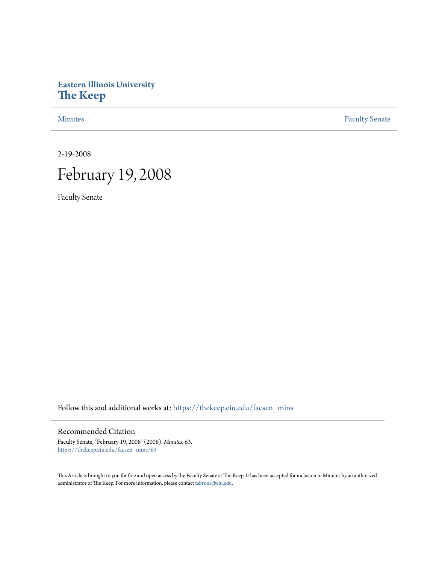## **Eastern Illinois University [The Keep](https://thekeep.eiu.edu?utm_source=thekeep.eiu.edu%2Ffacsen_mins%2F63&utm_medium=PDF&utm_campaign=PDFCoverPages)**

[Minutes](https://thekeep.eiu.edu/facsen_mins?utm_source=thekeep.eiu.edu%2Ffacsen_mins%2F63&utm_medium=PDF&utm_campaign=PDFCoverPages) **[Faculty Senate](https://thekeep.eiu.edu/fac_senate?utm_source=thekeep.eiu.edu%2Ffacsen_mins%2F63&utm_medium=PDF&utm_campaign=PDFCoverPages)** 

2-19-2008

# February 19, 2008

Faculty Senate

Follow this and additional works at: [https://thekeep.eiu.edu/facsen\\_mins](https://thekeep.eiu.edu/facsen_mins?utm_source=thekeep.eiu.edu%2Ffacsen_mins%2F63&utm_medium=PDF&utm_campaign=PDFCoverPages)

#### Recommended Citation

Faculty Senate, "February 19, 2008" (2008). *Minutes*. 63. [https://thekeep.eiu.edu/facsen\\_mins/63](https://thekeep.eiu.edu/facsen_mins/63?utm_source=thekeep.eiu.edu%2Ffacsen_mins%2F63&utm_medium=PDF&utm_campaign=PDFCoverPages)

This Article is brought to you for free and open access by the Faculty Senate at The Keep. It has been accepted for inclusion in Minutes by an authorized administrator of The Keep. For more information, please contact [tabruns@eiu.edu.](mailto:tabruns@eiu.edu)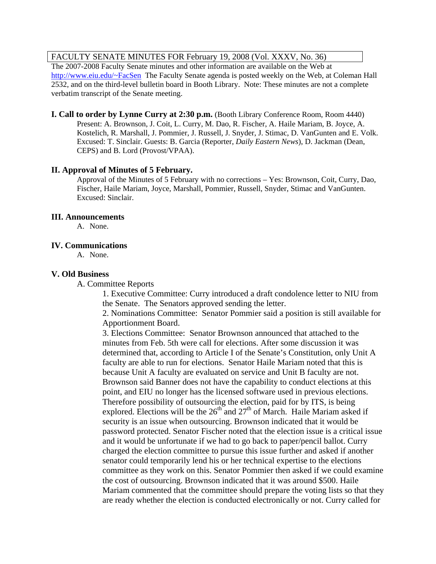### FACULTY SENATE MINUTES FOR February 19, 2008 (Vol. XXXV, No. 36)

The 2007-2008 Faculty Senate minutes and other information are available on the Web at [http://www.eiu.edu/~FacSen](http://www.eiu.edu/%7EFacSen) The Faculty Senate agenda is posted weekly on the Web, at Coleman Hall 2532, and on the third-level bulletin board in Booth Library. Note: These minutes are not a complete verbatim transcript of the Senate meeting.

**I. Call to order by Lynne Curry at 2:30 p.m.** (Booth Library Conference Room, Room 4440) Present: A. Brownson, J. Coit, L. Curry, M. Dao, R. Fischer, A. Haile Mariam, B. Joyce, A. Kostelich, R. Marshall, J. Pommier, J. Russell, J. Snyder, J. Stimac, D. VanGunten and E. Volk. Excused: T. Sinclair. Guests: B. Garcia (Reporter, *Daily Eastern News*), D. Jackman (Dean, CEPS) and B. Lord (Provost/VPAA).

#### **II. Approval of Minutes of 5 February.**

Approval of the Minutes of 5 February with no corrections – Yes: Brownson, Coit, Curry, Dao, Fischer, Haile Mariam, Joyce, Marshall, Pommier, Russell, Snyder, Stimac and VanGunten. Excused: Sinclair.

#### **III. Announcements**

A. None.

#### **IV. Communications**

A. None.

#### **V. Old Business**

A. Committee Reports

1. Executive Committee: Curry introduced a draft condolence letter to NIU from the Senate. The Senators approved sending the letter.

2. Nominations Committee: Senator Pommier said a position is still available for Apportionment Board.

3. Elections Committee: Senator Brownson announced that attached to the minutes from Feb. 5th were call for elections. After some discussion it was determined that, according to Article I of the Senate's Constitution, only Unit A faculty are able to run for elections. Senator Haile Mariam noted that this is because Unit A faculty are evaluated on service and Unit B faculty are not. Brownson said Banner does not have the capability to conduct elections at this point, and EIU no longer has the licensed software used in previous elections. Therefore possibility of outsourcing the election, paid for by ITS, is being explored. Elections will be the  $26<sup>th</sup>$  and  $27<sup>th</sup>$  of March. Haile Mariam asked if security is an issue when outsourcing. Brownson indicated that it would be password protected. Senator Fischer noted that the election issue is a critical issue and it would be unfortunate if we had to go back to paper/pencil ballot. Curry charged the election committee to pursue this issue further and asked if another senator could temporarily lend his or her technical expertise to the elections committee as they work on this. Senator Pommier then asked if we could examine the cost of outsourcing. Brownson indicated that it was around \$500. Haile Mariam commented that the committee should prepare the voting lists so that they are ready whether the election is conducted electronically or not. Curry called for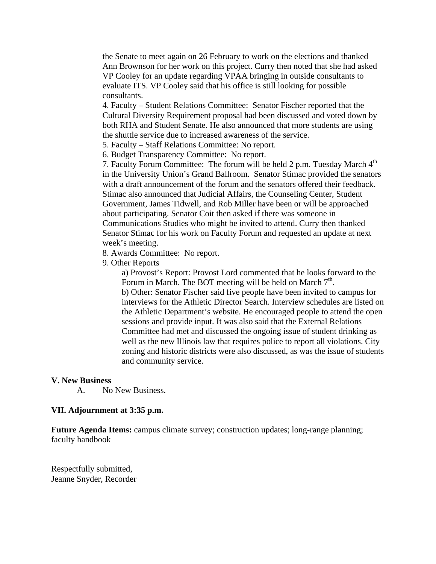the Senate to meet again on 26 February to work on the elections and thanked Ann Brownson for her work on this project. Curry then noted that she had asked VP Cooley for an update regarding VPAA bringing in outside consultants to evaluate ITS. VP Cooley said that his office is still looking for possible consultants.

4. Faculty – Student Relations Committee: Senator Fischer reported that the Cultural Diversity Requirement proposal had been discussed and voted down by both RHA and Student Senate. He also announced that more students are using the shuttle service due to increased awareness of the service.

5. Faculty – Staff Relations Committee: No report.

6. Budget Transparency Committee: No report.

7. Faculty Forum Committee: The forum will be held 2 p.m. Tuesday March  $4<sup>th</sup>$ in the University Union's Grand Ballroom. Senator Stimac provided the senators with a draft announcement of the forum and the senators offered their feedback. Stimac also announced that Judicial Affairs, the Counseling Center, Student Government, James Tidwell, and Rob Miller have been or will be approached about participating. Senator Coit then asked if there was someone in Communications Studies who might be invited to attend. Curry then thanked Senator Stimac for his work on Faculty Forum and requested an update at next week's meeting.

8. Awards Committee: No report.

9. Other Reports

a) Provost's Report: Provost Lord commented that he looks forward to the Forum in March. The BOT meeting will be held on March  $7<sup>th</sup>$ . b) Other: Senator Fischer said five people have been invited to campus for interviews for the Athletic Director Search. Interview schedules are listed on the Athletic Department's website. He encouraged people to attend the open sessions and provide input. It was also said that the External Relations Committee had met and discussed the ongoing issue of student drinking as well as the new Illinois law that requires police to report all violations. City zoning and historic districts were also discussed, as was the issue of students and community service.

#### **V. New Business**

A. No New Business.

#### **VII. Adjournment at 3:35 p.m.**

Future Agenda Items: campus climate survey; construction updates; long-range planning; faculty handbook

Respectfully submitted, Jeanne Snyder, Recorder